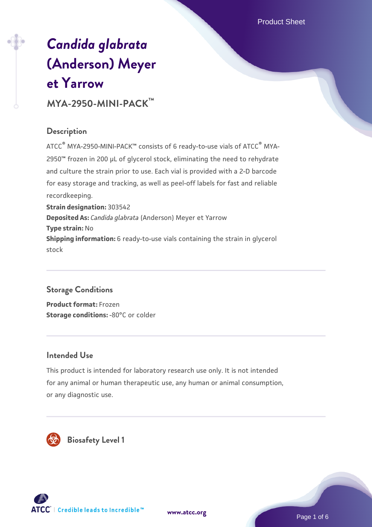# *[Candida glabrata](https://www.atcc.org/products/mya-2950-mini-pack)* **[\(Anderson\) Meyer](https://www.atcc.org/products/mya-2950-mini-pack) [et Yarrow](https://www.atcc.org/products/mya-2950-mini-pack)**

# **MYA-2950-MINI-PACK™**

#### **Description**

ATCC® MYA-2950-MINI-PACK™ consists of 6 ready-to-use vials of ATCC® MYA-2950™ frozen in 200 µL of glycerol stock, eliminating the need to rehydrate and culture the strain prior to use. Each vial is provided with a 2-D barcode for easy storage and tracking, as well as peel-off labels for fast and reliable recordkeeping. **Strain designation:** 303542 **Deposited As:** *Candida glabrata* (Anderson) Meyer et Yarrow **Type strain:** No **Shipping information:** 6 ready-to-use vials containing the strain in glycerol

### **Storage Conditions**

stock

**Product format:** Frozen **Storage conditions: -80°C or colder** 

### **Intended Use**

This product is intended for laboratory research use only. It is not intended for any animal or human therapeutic use, any human or animal consumption, or any diagnostic use.



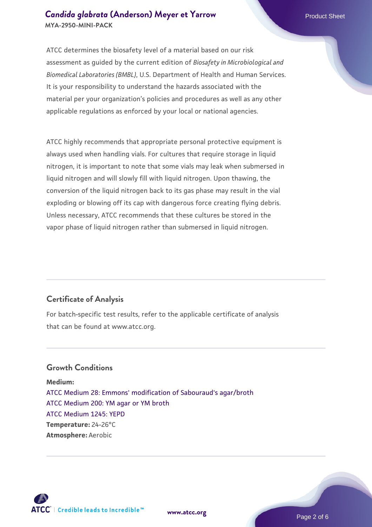#### **[Candida glabrata](https://www.atcc.org/products/mya-2950-mini-pack) [\(Anderson\) Meyer et Yarrow](https://www.atcc.org/products/mya-2950-mini-pack) Product Sheet Product Sheet MYA-2950-MINI-PACK**

ATCC determines the biosafety level of a material based on our risk assessment as guided by the current edition of *Biosafety in Microbiological and Biomedical Laboratories (BMBL)*, U.S. Department of Health and Human Services. It is your responsibility to understand the hazards associated with the material per your organization's policies and procedures as well as any other applicable regulations as enforced by your local or national agencies.

ATCC highly recommends that appropriate personal protective equipment is always used when handling vials. For cultures that require storage in liquid nitrogen, it is important to note that some vials may leak when submersed in liquid nitrogen and will slowly fill with liquid nitrogen. Upon thawing, the conversion of the liquid nitrogen back to its gas phase may result in the vial exploding or blowing off its cap with dangerous force creating flying debris. Unless necessary, ATCC recommends that these cultures be stored in the vapor phase of liquid nitrogen rather than submersed in liquid nitrogen.

#### **Certificate of Analysis**

For batch-specific test results, refer to the applicable certificate of analysis that can be found at www.atcc.org.

#### **Growth Conditions**

**Medium:**  [ATCC Medium 28: Emmons' modification of Sabouraud's agar/broth](https://www.atcc.org/-/media/product-assets/documents/microbial-media-formulations/2/8/atcc-medium-28.pdf?rev=0da0c58cc2a343eeae735016b70809bb) [ATCC Medium 200: YM agar or YM broth](https://www.atcc.org/-/media/product-assets/documents/microbial-media-formulations/2/0/0/atcc-medium-200.pdf?rev=ac40fd74dc13433a809367b0b9da30fc) [ATCC Medium 1245: YEPD](https://www.atcc.org/-/media/product-assets/documents/microbial-media-formulations/1/2/4/5/atcc-medium-1245.pdf?rev=705ca55d1b6f490a808a965d5c072196) **Temperature:** 24-26°C **Atmosphere:** Aerobic



**[www.atcc.org](http://www.atcc.org)**

Page 2 of 6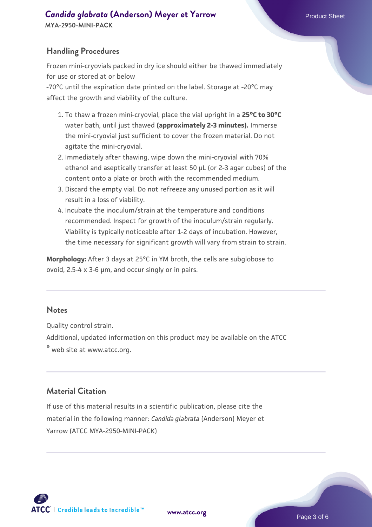#### **[Candida glabrata](https://www.atcc.org/products/mya-2950-mini-pack) [\(Anderson\) Meyer et Yarrow](https://www.atcc.org/products/mya-2950-mini-pack) Product Sheet Product Sheet MYA-2950-MINI-PACK**

#### **Handling Procedures**

Frozen mini-cryovials packed in dry ice should either be thawed immediately for use or stored at or below

-70°C until the expiration date printed on the label. Storage at -20°C may affect the growth and viability of the culture.

- To thaw a frozen mini-cryovial, place the vial upright in a **25°C to 30°C** 1. water bath, until just thawed **(approximately 2-3 minutes).** Immerse the mini-cryovial just sufficient to cover the frozen material. Do not agitate the mini-cryovial.
- 2. Immediately after thawing, wipe down the mini-cryovial with 70% ethanol and aseptically transfer at least 50 µL (or 2-3 agar cubes) of the content onto a plate or broth with the recommended medium.
- 3. Discard the empty vial. Do not refreeze any unused portion as it will result in a loss of viability.
- 4. Incubate the inoculum/strain at the temperature and conditions recommended. Inspect for growth of the inoculum/strain regularly. Viability is typically noticeable after 1-2 days of incubation. However, the time necessary for significant growth will vary from strain to strain.

**Morphology:** After 3 days at 25°C in YM broth, the cells are subglobose to ovoid, 2.5-4 x 3-6 µm, and occur singly or in pairs.

#### **Notes**

Quality control strain.

Additional, updated information on this product may be available on the ATCC

® web site at www.atcc.org.

#### **Material Citation**

If use of this material results in a scientific publication, please cite the material in the following manner: *Candida glabrata* (Anderson) Meyer et Yarrow (ATCC MYA-2950-MINI-PACK)



**[www.atcc.org](http://www.atcc.org)**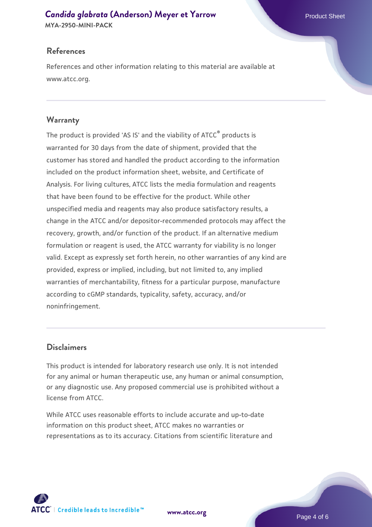## **[Candida glabrata](https://www.atcc.org/products/mya-2950-mini-pack) [\(Anderson\) Meyer et Yarrow](https://www.atcc.org/products/mya-2950-mini-pack) Product Sheet Product Sheet**

**MYA-2950-MINI-PACK**

#### **References**

References and other information relating to this material are available at www.atcc.org.

#### **Warranty**

The product is provided 'AS IS' and the viability of ATCC® products is warranted for 30 days from the date of shipment, provided that the customer has stored and handled the product according to the information included on the product information sheet, website, and Certificate of Analysis. For living cultures, ATCC lists the media formulation and reagents that have been found to be effective for the product. While other unspecified media and reagents may also produce satisfactory results, a change in the ATCC and/or depositor-recommended protocols may affect the recovery, growth, and/or function of the product. If an alternative medium formulation or reagent is used, the ATCC warranty for viability is no longer valid. Except as expressly set forth herein, no other warranties of any kind are provided, express or implied, including, but not limited to, any implied warranties of merchantability, fitness for a particular purpose, manufacture according to cGMP standards, typicality, safety, accuracy, and/or noninfringement.

#### **Disclaimers**

This product is intended for laboratory research use only. It is not intended for any animal or human therapeutic use, any human or animal consumption, or any diagnostic use. Any proposed commercial use is prohibited without a license from ATCC.

While ATCC uses reasonable efforts to include accurate and up-to-date information on this product sheet, ATCC makes no warranties or representations as to its accuracy. Citations from scientific literature and

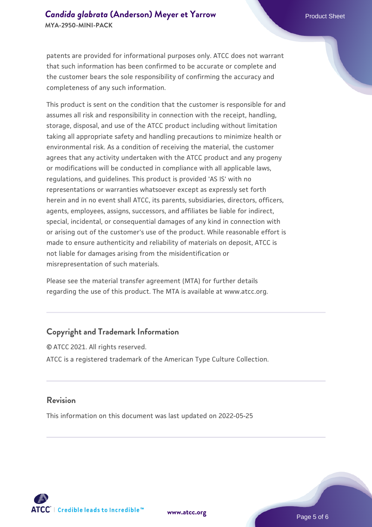patents are provided for informational purposes only. ATCC does not warrant that such information has been confirmed to be accurate or complete and the customer bears the sole responsibility of confirming the accuracy and completeness of any such information.

This product is sent on the condition that the customer is responsible for and assumes all risk and responsibility in connection with the receipt, handling, storage, disposal, and use of the ATCC product including without limitation taking all appropriate safety and handling precautions to minimize health or environmental risk. As a condition of receiving the material, the customer agrees that any activity undertaken with the ATCC product and any progeny or modifications will be conducted in compliance with all applicable laws, regulations, and guidelines. This product is provided 'AS IS' with no representations or warranties whatsoever except as expressly set forth herein and in no event shall ATCC, its parents, subsidiaries, directors, officers, agents, employees, assigns, successors, and affiliates be liable for indirect, special, incidental, or consequential damages of any kind in connection with or arising out of the customer's use of the product. While reasonable effort is made to ensure authenticity and reliability of materials on deposit, ATCC is not liable for damages arising from the misidentification or misrepresentation of such materials.

Please see the material transfer agreement (MTA) for further details regarding the use of this product. The MTA is available at www.atcc.org.

#### **Copyright and Trademark Information**

© ATCC 2021. All rights reserved. ATCC is a registered trademark of the American Type Culture Collection.

#### **Revision**

This information on this document was last updated on 2022-05-25



**[www.atcc.org](http://www.atcc.org)**

Page 5 of 6